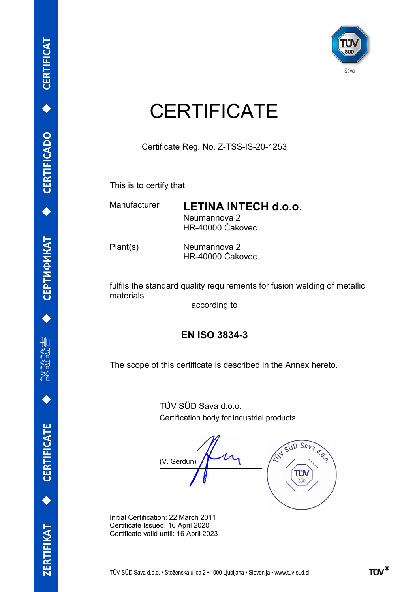

## **CERTIFICATE**

Certificate Reg. No. Z-TSS-IS-20-1253

This is to certify that

Manufacturer LETINA INTECH d.o.o. Neumannova 2 HR-40000 Čakovec

Plant(s) Neumannova 2 HR-40000 Čakovec

fulfils the standard quality requirements for fusion welding of metallic materials

according to

## EN ISO 3834-3

The scope of this certificate is described in the Annex hereto.

TÜV SÜD Sava d.o.o. Certification body for industrial products

 $SUD$  Sava a.o.o (V. Gerdun) L ΤΰΛ  $\overline{\text{c}}$ 

Initial Certification: 22 March 2011 Certificate Issued: 16 April 2020 Certificate valid until: 16 April 2023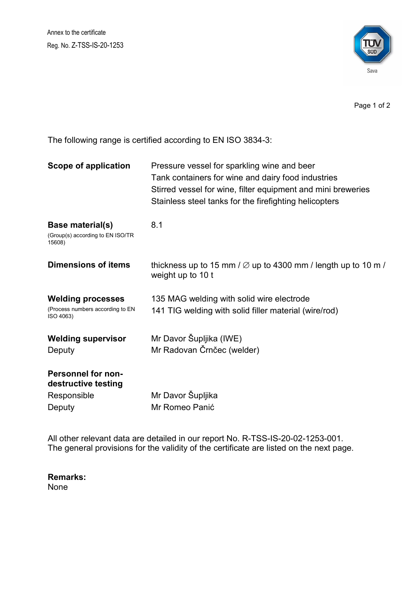Annex to the certificate Reg. No. Z-TSS-IS-20-1253



Page 1 of 2

The following range is certified according to EN ISO 3834-3:

| <b>Scope of application</b>                                               | Pressure vessel for sparkling wine and beer<br>Tank containers for wine and dairy food industries<br>Stirred vessel for wine, filter equipment and mini breweries<br>Stainless steel tanks for the firefighting helicopters |
|---------------------------------------------------------------------------|-----------------------------------------------------------------------------------------------------------------------------------------------------------------------------------------------------------------------------|
| <b>Base material(s)</b><br>(Group(s) according to EN ISO/TR<br>15608)     | 8.1                                                                                                                                                                                                                         |
| <b>Dimensions of items</b>                                                | thickness up to 15 mm $/$ $\varnothing$ up to 4300 mm $/$ length up to 10 m $/$<br>weight up to 10 t                                                                                                                        |
| <b>Welding processes</b><br>(Process numbers according to EN<br>ISO 4063) | 135 MAG welding with solid wire electrode<br>141 TIG welding with solid filler material (wire/rod)                                                                                                                          |
| <b>Welding supervisor</b>                                                 | Mr Davor Šupljika (IWE)                                                                                                                                                                                                     |
| Deputy                                                                    | Mr Radovan Črnčec (welder)                                                                                                                                                                                                  |
| <b>Personnel for non-</b><br>destructive testing                          |                                                                                                                                                                                                                             |
| Responsible                                                               | Mr Davor Šupljika                                                                                                                                                                                                           |
| Deputy                                                                    | Mr Romeo Panić                                                                                                                                                                                                              |

All other relevant data are detailed in our report No. R-TSS-IS-20-02-1253-001. The general provisions for the validity of the certificate are listed on the next page.

Remarks: None